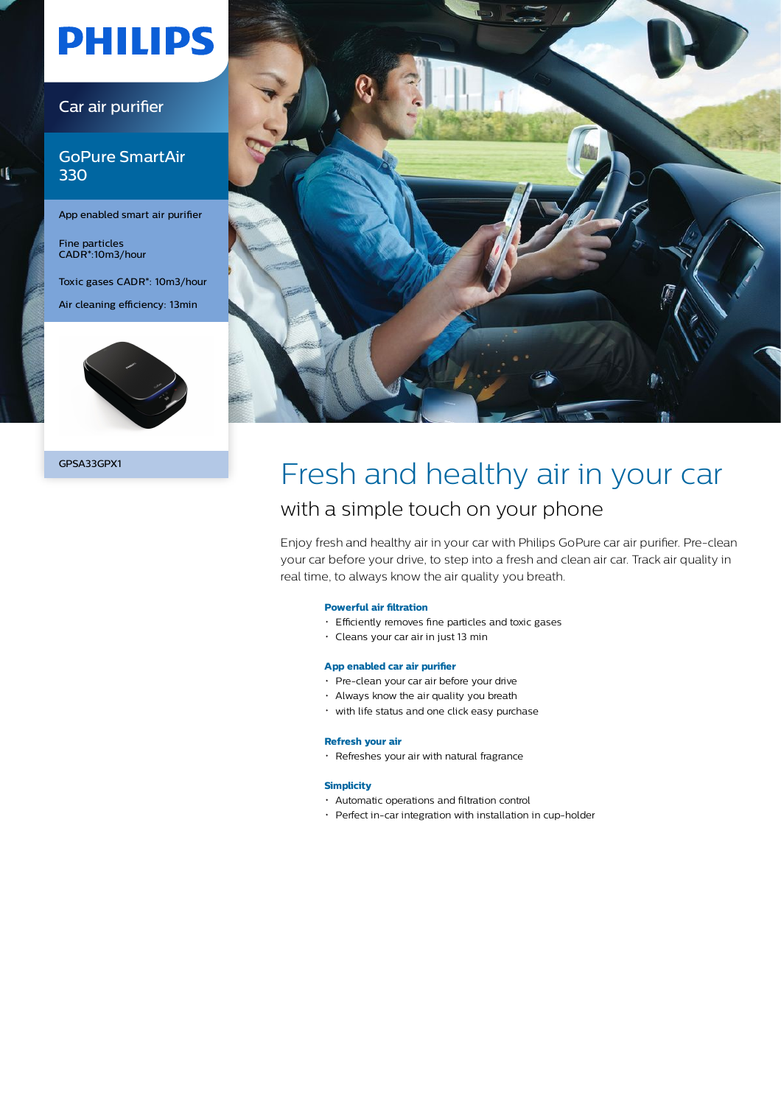# **PHILIPS**

### Car air purifier

### GoPure SmartAir 330

App enabled smart air purifier

Fine particles CADR\*:10m3/hour

ι

Toxic gases CADR\*: 10m3/hour

Air cleaning efficiency: 13min





## GPSA33GPX1 Fresh and healthy air in your car with a simple touch on your phone

Enjoy fresh and healthy air in your car with Philips GoPure car air purifier. Pre-clean your car before your drive, to step into a fresh and clean air car. Track air quality in real time, to always know the air quality you breath.

### **Powerful air filtration**

- Efficiently removes fine particles and toxic gases
- Cleans your car air in just 13 min

#### **App enabled car air purifier**

- Pre-clean your car air before your drive
- Always know the air quality you breath
- with life status and one click easy purchase

#### **Refresh your air**

Refreshes your air with natural fragrance

#### **Simplicity**

- Automatic operations and filtration control
- Perfect in-car integration with installation in cup-holder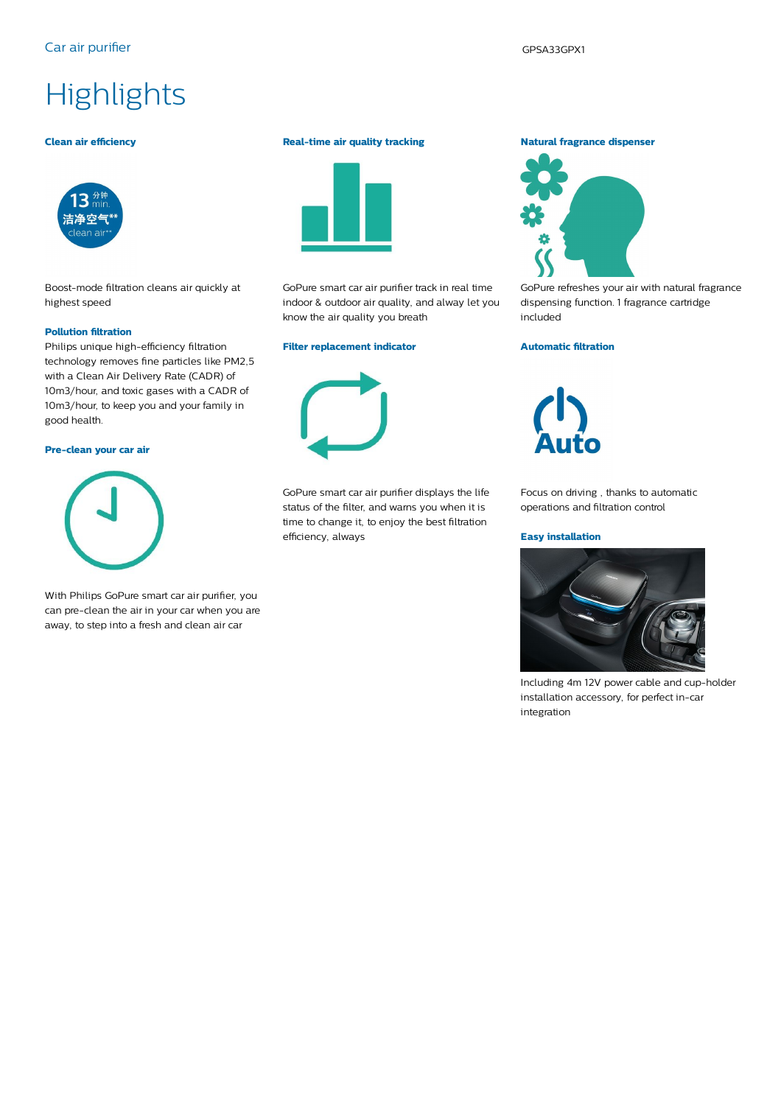### Car air purifier GPSA33GPX1

# **Highlights**

#### **Clean air efficiency**



Boost-mode filtration cleans air quickly at highest speed

#### **Pollution filtration**

Philips unique high-efficiency filtration technology removes fine particles like PM2,5 with a Clean Air Delivery Rate (CADR) of 10m3/hour, and toxic gases with a CADR of 10m3/hour, to keep you and your family in good health.

#### **Pre-clean your car air**



With Philips GoPure smart car air purifier, you can pre-clean the air in your car when you are away, to step into a fresh and clean air car

#### **Real-time air quality tracking**



GoPure smart car air purifier track in real time indoor & outdoor air quality, and alway let you know the air quality you breath

#### **Filter replacement indicator**

GoPure smart car air purifier displays the life status of the filter, and warns you when it is time to change it, to enjoy the best filtration efficiency, always

#### **Natural fragrance dispenser**



GoPure refreshes your air with natural fragrance dispensing function. 1 fragrance cartridge included

#### **Automatic filtration**



Focus on driving , thanks to automatic operations and filtration control

#### **Easy installation**



Including 4m 12V power cable and cup-holder installation accessory, for perfect in-car integration